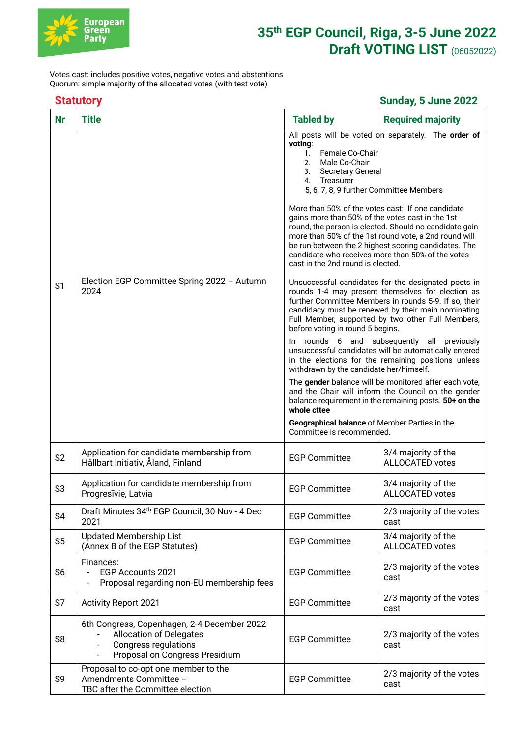

## **35th EGP Council, Riga, 3-5 June 2022 Draft VOTING LIST** (06052022)

Votes cast: includes positive votes, negative votes and abstentions Quorum: simple majority of the allocated votes (with test vote)

## **Statutory Sunday, 5 June 2022**

| <b>Nr</b>      | <b>Title</b>                                                                                                                            | <b>Tabled by</b>                                                                                                                                                                                                                                                                                                                                                                                                                                                                                                                                                                                                                                                                                                                                                                                                                                                                                                                                                                                                                                                                                                                                                                                                                                                                                                    | <b>Required majority</b>                      |
|----------------|-----------------------------------------------------------------------------------------------------------------------------------------|---------------------------------------------------------------------------------------------------------------------------------------------------------------------------------------------------------------------------------------------------------------------------------------------------------------------------------------------------------------------------------------------------------------------------------------------------------------------------------------------------------------------------------------------------------------------------------------------------------------------------------------------------------------------------------------------------------------------------------------------------------------------------------------------------------------------------------------------------------------------------------------------------------------------------------------------------------------------------------------------------------------------------------------------------------------------------------------------------------------------------------------------------------------------------------------------------------------------------------------------------------------------------------------------------------------------|-----------------------------------------------|
| S <sub>1</sub> | Election EGP Committee Spring 2022 - Autumn<br>2024                                                                                     | All posts will be voted on separately. The order of<br>voting:<br>Female Co-Chair<br>Τ.<br>2.<br>Male Co-Chair<br><b>Secretary General</b><br>3.<br>Treasurer<br>4.<br>5, 6, 7, 8, 9 further Committee Members<br>More than 50% of the votes cast: If one candidate<br>gains more than 50% of the votes cast in the 1st<br>round, the person is elected. Should no candidate gain<br>more than 50% of the 1st round vote, a 2nd round will<br>be run between the 2 highest scoring candidates. The<br>candidate who receives more than 50% of the votes<br>cast in the 2nd round is elected.<br>Unsuccessful candidates for the designated posts in<br>rounds 1-4 may present themselves for election as<br>further Committee Members in rounds 5-9. If so, their<br>candidacy must be renewed by their main nominating<br>Full Member, supported by two other Full Members,<br>before voting in round 5 begins.<br>In rounds 6 and subsequently all previously<br>unsuccessful candidates will be automatically entered<br>in the elections for the remaining positions unless<br>withdrawn by the candidate her/himself.<br>The gender balance will be monitored after each vote,<br>and the Chair will inform the Council on the gender<br>balance requirement in the remaining posts. 50+ on the<br>whole cttee |                                               |
|                |                                                                                                                                         | Geographical balance of Member Parties in the<br>Committee is recommended.                                                                                                                                                                                                                                                                                                                                                                                                                                                                                                                                                                                                                                                                                                                                                                                                                                                                                                                                                                                                                                                                                                                                                                                                                                          |                                               |
| S <sub>2</sub> | Application for candidate membership from<br>Hållbart Initiativ, Åland, Finland                                                         | <b>EGP Committee</b>                                                                                                                                                                                                                                                                                                                                                                                                                                                                                                                                                                                                                                                                                                                                                                                                                                                                                                                                                                                                                                                                                                                                                                                                                                                                                                | 3/4 majority of the<br><b>ALLOCATED votes</b> |
| S <sub>3</sub> | Application for candidate membership from<br>Progresivie, Latvia                                                                        | <b>EGP Committee</b>                                                                                                                                                                                                                                                                                                                                                                                                                                                                                                                                                                                                                                                                                                                                                                                                                                                                                                                                                                                                                                                                                                                                                                                                                                                                                                | 3/4 majority of the<br><b>ALLOCATED votes</b> |
| S <sub>4</sub> | Draft Minutes 34th EGP Council, 30 Nov - 4 Dec<br>2021                                                                                  | <b>EGP Committee</b>                                                                                                                                                                                                                                                                                                                                                                                                                                                                                                                                                                                                                                                                                                                                                                                                                                                                                                                                                                                                                                                                                                                                                                                                                                                                                                | 2/3 majority of the votes<br>cast             |
| S <sub>5</sub> | <b>Updated Membership List</b><br>(Annex B of the EGP Statutes)                                                                         | <b>EGP Committee</b>                                                                                                                                                                                                                                                                                                                                                                                                                                                                                                                                                                                                                                                                                                                                                                                                                                                                                                                                                                                                                                                                                                                                                                                                                                                                                                | 3/4 majority of the<br><b>ALLOCATED votes</b> |
| S <sub>6</sub> | Finances:<br>EGP Accounts 2021<br>Proposal regarding non-EU membership fees                                                             | <b>EGP Committee</b>                                                                                                                                                                                                                                                                                                                                                                                                                                                                                                                                                                                                                                                                                                                                                                                                                                                                                                                                                                                                                                                                                                                                                                                                                                                                                                | 2/3 majority of the votes<br>cast             |
| S7             | <b>Activity Report 2021</b>                                                                                                             | <b>EGP Committee</b>                                                                                                                                                                                                                                                                                                                                                                                                                                                                                                                                                                                                                                                                                                                                                                                                                                                                                                                                                                                                                                                                                                                                                                                                                                                                                                | 2/3 majority of the votes<br>cast             |
| S <sub>8</sub> | 6th Congress, Copenhagen, 2-4 December 2022<br><b>Allocation of Delegates</b><br>Congress regulations<br>Proposal on Congress Presidium | <b>EGP Committee</b>                                                                                                                                                                                                                                                                                                                                                                                                                                                                                                                                                                                                                                                                                                                                                                                                                                                                                                                                                                                                                                                                                                                                                                                                                                                                                                | 2/3 majority of the votes<br>cast             |
| S9             | Proposal to co-opt one member to the<br>Amendments Committee -<br>TBC after the Committee election                                      | <b>EGP Committee</b>                                                                                                                                                                                                                                                                                                                                                                                                                                                                                                                                                                                                                                                                                                                                                                                                                                                                                                                                                                                                                                                                                                                                                                                                                                                                                                | 2/3 majority of the votes<br>cast             |